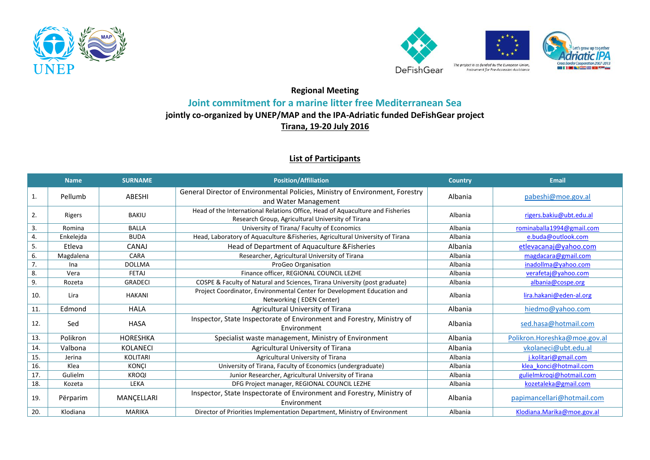



## **Regional Meeting Joint commitment for a marine litter free Mediterranean Sea jointly co-organized by UNEP/MAP and the IPA-Adriatic funded DeFishGear project**

**Tirana, 19-20 July 2016**

## **List of Participants**

|     | <b>Name</b> | <b>SURNAME</b>  | <b>Position/Affiliation</b>                                                                                                        | <b>Country</b> | <b>Email</b>                 |
|-----|-------------|-----------------|------------------------------------------------------------------------------------------------------------------------------------|----------------|------------------------------|
| 1.  | Pellumb     | ABESHI          | General Director of Environmental Policies, Ministry of Environment, Forestry<br>and Water Management                              | Albania        | pabeshi@moe.gov.al           |
| 2.  | Rigers      | BAKIU           | Head of the International Relations Office, Head of Aquaculture and Fisheries<br>Research Group, Agricultural University of Tirana | Albania        | rigers.bakiu@ubt.edu.al      |
| 3.  | Romina      | <b>BALLA</b>    | University of Tirana/Faculty of Economics                                                                                          | Albania        | rominaballa1994@gmail.com    |
| 4.  | Enkeleida   | <b>BUDA</b>     | Head, Laboratory of Aquaculture & Fisheries, Agricultural University of Tirana                                                     | Albania        | e.buda@outlook.com           |
| 5.  | Etleva      | <b>CANAJ</b>    | Head of Department of Aquaculture & Fisheries                                                                                      | Albania        | etlevacanaj@yahoo.com        |
| 6.  | Magdalena   | CARA            | Researcher, Agricultural University of Tirana                                                                                      | Albania        | magdacara@gmail.com          |
| 7.  | Ina         | <b>DOLLMA</b>   | ProGeo Organisation                                                                                                                | Albania        | inadollma@yahoo.com          |
| 8.  | Vera        | <b>FETAJ</b>    | Finance officer, REGIONAL COUNCIL LEZHE                                                                                            | Albania        | verafetaj@yahoo.com          |
| 9.  | Rozeta      | <b>GRADECI</b>  | COSPE & Faculty of Natural and Sciences, Tirana University (post graduate)                                                         | Albania        | albania@cospe.org            |
| 10. | Lira        | <b>HAKANI</b>   | Project Coordinator, Environmental Center for Development Education and<br>Networking (EDEN Center)                                | Albania        | lira.hakani@eden-al.org      |
| 11. | Edmond      | <b>HALA</b>     | Agricultural University of Tirana                                                                                                  | Albania        | hiedmo@yahoo.com             |
| 12. | Sed         | <b>HASA</b>     | Inspector, State Inspectorate of Environment and Forestry, Ministry of<br>Environment                                              | Albania        | sed.hasa@hotmail.com         |
| 13. | Polikron    | <b>HORESHKA</b> | Specialist waste management, Ministry of Environment                                                                               | Albania        | Polikron.Horeshka@moe.gov.al |
| 14. | Valbona     | <b>KOLANECI</b> | Agricultural University of Tirana                                                                                                  | Albania        | vkolaneci@ubt.edu.al         |
| 15. | Jerina      | KOLITARI        | Agricultural University of Tirana                                                                                                  | Albania        | j.kolitari@gmail.com         |
| 16. | Klea        | <b>KONCI</b>    | University of Tirana, Faculty of Economics (undergraduate)                                                                         | Albania        | klea konci@hotmail.com       |
| 17. | Gulielm     | <b>KROOI</b>    | Junior Researcher, Agricultural University of Tirana                                                                               | Albania        | gulielmkrogi@hotmail.com     |
| 18. | Kozeta      | LEKA            | DFG Project manager, REGIONAL COUNCIL LEZHE                                                                                        | Albania        | kozetaleka@gmail.com         |
| 19. | Përparim    | MANCELLARI      | Inspector, State Inspectorate of Environment and Forestry, Ministry of<br>Environment                                              | Albania        | papimancellari@hotmail.com   |
| 20. | Klodiana    | <b>MARIKA</b>   | Director of Priorities Implementation Department, Ministry of Environment                                                          | Albania        | Klodiana.Marika@moe.gov.al   |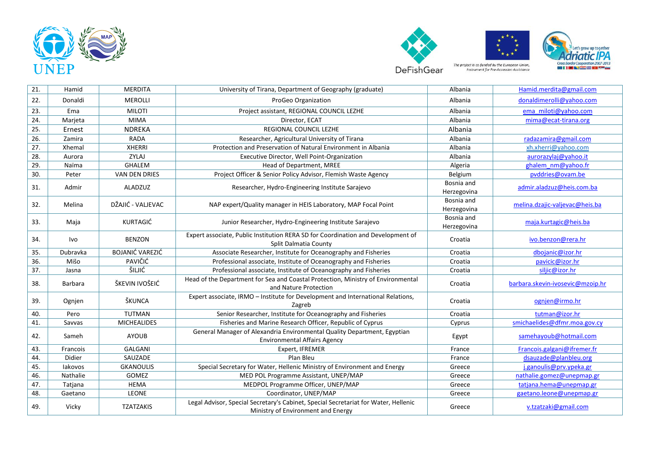







| 21. | Hamid          | <b>MERDITA</b>         | University of Tirana, Department of Geography (graduate)                                                                  | Albania                   | Hamid.merdita@gmail.com          |
|-----|----------------|------------------------|---------------------------------------------------------------------------------------------------------------------------|---------------------------|----------------------------------|
| 22. | Donaldi        | <b>MEROLLI</b>         | ProGeo Organization                                                                                                       | Albania                   | donaldimerolli@yahoo.com         |
| 23. | Ema            | <b>MILOTI</b>          | Project assistant, REGIONAL COUNCIL LEZHE                                                                                 | Albania                   | ema miloti@yahoo.com             |
| 24. | Marjeta        | <b>MIMA</b>            | Director, ECAT                                                                                                            | Albania                   | mima@ecat-tirana.org             |
| 25. | Ernest         | <b>NDREKA</b>          | REGIONAL COUNCIL LEZHE                                                                                                    | Albania                   |                                  |
| 26. | Zamira         | <b>RADA</b>            | Researcher, Agricultural University of Tirana                                                                             | Albania                   | radazamira@gmail.com             |
| 27. | Xhemal         | <b>XHERRI</b>          | Protection and Preservation of Natural Environment in Albania                                                             | Albania                   | xh.xherri@yahoo.com              |
| 28. | Aurora         | ZYLAJ                  | Executive Director, Well Point-Organization                                                                               | Albania                   | aurorazylaj@yahoo.it             |
| 29. | Naïma          | <b>GHALEM</b>          | Head of Department, MREE                                                                                                  | Algeria                   | ghalem nm@yahoo.fr               |
| 30. | Peter          | <b>VAN DEN DRIES</b>   | Project Officer & Senior Policy Advisor, Flemish Waste Agency                                                             | Belgium                   | pvddries@ovam.be                 |
| 31. | Admir          | ALADZUZ                | Researcher, Hydro-Engineering Institute Sarajevo                                                                          | Bosnia and<br>Herzegovina | admir.aladzuz@heis.com.ba        |
| 32. | Melina         | DŽAJIĆ - VALJEVAC      | NAP expert/Quality manager in HEIS Laboratory, MAP Focal Point                                                            | Bosnia and<br>Herzegovina | melina.dzajic-valjevac@heis.ba   |
| 33. | Maja           | KURTAGIĆ               | Junior Researcher, Hydro-Engineering Institute Sarajevo                                                                   | Bosnia and<br>Herzegovina | maja.kurtagic@heis.ba            |
| 34. | Ivo            | <b>BENZON</b>          | Expert associate, Public Institution RERA SD for Coordination and Development of<br>Split Dalmatia County                 | Croatia                   | ivo.benzon@rera.hr               |
| 35. | Dubravka       | <b>BOJANIĆ VAREZIĆ</b> | Associate Researcher, Institute for Oceanography and Fisheries                                                            | Croatia                   | dbojanic@izor.hr                 |
| 36. | Mišo           | PAVIČIĆ                | Professional associate, Institute of Oceanography and Fisheries                                                           | Croatia                   | pavicic@izor.hr                  |
| 37. | Jasna          | ŠILJIĆ                 | Professional associate, Institute of Oceanography and Fisheries                                                           | Croatia                   | siljic@izor.hr                   |
| 38. | <b>Barbara</b> | ŠKEVIN IVOŜEIĆ         | Head of the Department for Sea and Coastal Protection, Ministry of Environmental<br>and Nature Protection                 | Croatia                   | barbara.skevin-ivosevic@mzoip.hr |
| 39. | Ognjen         | ŠKUNCA                 | Expert associate, IRMO - Institute for Development and International Relations,<br>Zagreb                                 | Croatia                   | ognjen@irmo.hr                   |
| 40. | Pero           | <b>TUTMAN</b>          | Senior Researcher, Institute for Oceanography and Fisheries                                                               | Croatia                   | tutman@izor.hr                   |
| 41. | Savvas         | <b>MICHEALIDES</b>     | Fisheries and Marine Research Officer, Republic of Cyprus                                                                 | Cyprus                    | smichaelides@dfmr.moa.gov.cy     |
| 42. | Sameh          | <b>AYOUB</b>           | General Manager of Alexandria Environmental Quality Department, Egyptian<br><b>Environmental Affairs Agency</b>           | Egypt                     | samehayoub@hotmail.com           |
| 43. | Francois       | GALGANI                | Expert, IFREMER                                                                                                           | France                    | Francois.galgani@ifremer.fr      |
| 44. | Didier         | SAUZADE                | Plan Bleu                                                                                                                 | France                    | dsauzade@planbleu.org            |
| 45. | lakovos        | <b>GKANOULIS</b>       | Special Secretary for Water, Hellenic Ministry of Environment and Energy                                                  | Greece                    | i.ganoulis@prv.ypeka.gr          |
| 46. | Nathalie       | GOMEZ                  | MED POL Programme Assistant, UNEP/MAP                                                                                     | Greece                    | nathalie.gomez@unepmap.gr        |
| 47. | Tatjana        | <b>HEMA</b>            | MEDPOL Programme Officer, UNEP/MAP                                                                                        | Greece                    | tatjana.hema@unepmap.gr          |
| 48. | Gaetano        | LEONE                  | Coordinator, UNEP/MAP                                                                                                     | Greece                    | gaetano.leone@unepmap.gr         |
| 49. | Vicky          | <b>TZATZAKIS</b>       | Legal Advisor, Special Secretary's Cabinet, Special Secretariat for Water, Hellenic<br>Ministry of Environment and Energy | Greece                    | v.tzatzaki@gmail.com             |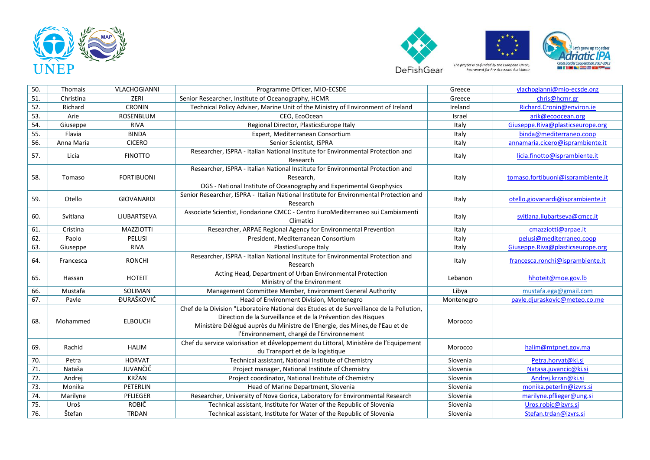







50. Thomais VLACHOGIANNI Programme Officer, MIO-ECSDE Greece [vlachogianni@mio-ecsde.org](mailto:vlachogianni@mio-ecsde.org) 51. Christina Christina ZERI Senior Researcher, Institute of Oceanography, HCMR Chris Chris@hcmr.gr Chris@hcmr.gr 52. Richard CRONIN Fechnical Policy Adviser. Marine Unit of the Ministry of Environment of Ireland Ireland [Richard.Cronin@environ.ie](mailto:Richard.Cronin@environ.ie) 53. Arie ROSENBLUM CEO, EcoOcean Israel Israel [arik@ecoocean.org](mailto:arik@ecoocean.org) <mark>arik@ecoocean.org</mark> 54. Giuseppe RIVA RIVA Regional Director, PlasticsEurope Italy Italy Italy [Giuseppe.Riva@plasticseurope.org](mailto:Giuseppe.Riva@plasticseurope.org) 55. Flavia BINDA Expert, Mediterranean Consortium Italy [binda@mediterraneo.coop](mailto:binda@mediterraneo.coop) 56. Anna Maria CICERO Senior Scientist, ISPRA Italy [annamaria.cicero@isprambiente.it](mailto:annamaria.cicero@isprambiente.it) 57. Licia FINOTTO Researcher, ISPRA - Italian National Institute for Environmental Protection and Italy [licia.finotto@isprambiente.it](mailto:licia.finotto@isprambiente.it) 58. Tomaso FORTIBUONI Researcher, ISPRA - Italian National Institute for Environmental Protection and Research, OGS - National Institute of Oceanography and Experimental Geophysics Italy [tomaso.fortibuoni@isprambiente.it](mailto:tomaso.fortibuoni@isprambiente.it) 59. Otello GIOVANARDI Senior Researcher, ISPRA - Italian National Institute for Environmental Protection and Italy **Interpretetatio.giovanardi@isprambiente.it** 60. Svitlana LIUBARTSEVA Associate Scientist, Fondazione CMCC - Centro EuroMediterraneo sui Cambiamenti Italy **Italy** [svitlana.liubartseva@cmcc.it](mailto:svitlana.liubartseva@cmcc.it) 61. Cristina MAZZIOTTI Researcher, ARPAE Regional Agency for Environmental Prevention Italy [cmazziotti@arpae.it](mailto:cmazziotti@arpae.it) 62. Paolo PELUSI President, Mediterranean Consortium Italy [pelusi@mediterraneo.coop](mailto:pelusi@mediterraneo.coop) 63. Giuseppe RIVA PlasticsEurope Italy Italy [Giuseppe.Riva@plasticseurope.org](mailto:Giuseppe.Riva@plasticseurope.org) 64. Francesca RONCHI Researcher, ISPRA - Italian National Institute for Environmental Protection and Italy **Italy** [francesca.ronchi@isprambiente.it](mailto:francesca.ronchi@isprambiente.it) 65. Hassan HOTEIT HOTEIT Acting Head, Department of Urban Environmental Protection Ministry of the Environment Lebanon Lebanon hhoteit **Channel Hotel** Lebanon html has the Environment 66. Mustafa SOLIMAN Management Committee Member, Environment General Authority Libya mustafa.ega@gmail.com 67. Pavle ĐURAŜKOVIĆ Head of Environment Division, Montenegro Montenegro [pavle.djuraskovic@meteo.co.me](mailto:pavle.djuraskovic@meteo.co.me) 68. Mohammed ELBOUCH Chef de la Division "Laboratoire National des Etudes et de Surveillance de la Pollution, Direction de la Surveillance et de la Prévention des Risques Ministère Délégué auprès du Ministre de l'Energie, des Mines,de l'Eau et de l'Environnement, chargé de l'Environnement Morocco 69. Rachid HALIM Chef du service valorisation et développement du Littoral, Ministère de l'Equipement du Transport et de la logistique Morocco de la logistique du Transport et de la logistique du Transport et de la logistique 70. Petra | HORVAT | Technical assistant, National Institute of Chemistry | Slovenia | [Petra.horvat@ki.si](mailto:Petra.horvat@ki.si) 71. Nataša JUVANČIČ Roject manager, National Institute of Chemistry Slovenia Slovenia [Natasa.juvancic@ki.si](mailto:Natasa.juvancic@ki.si) 72. Andrei KRŽAN RAJ Project coordinator, National Institute of Chemistry Slovenia Business [Andrej.krzan@ki.si](mailto:Andrej.krzan@ki.si) 73. Monika PETERLIN Head of Marine Department, Slovenia Slovenia [monika.peterlin@izvrs.si](mailto:monika.peterlin@izvrs.si) 74. Marilyne PFLIEGER Researcher, University of Nova Gorica, Laboratory for Environmental Research Slovenia [marilyne.pflieger@ung.si](mailto:marilyne.pflieger@ung.si) 75. Uroš | ROBIČ Technical assistant, Institute for Water of the Republic of Slovenia | Slovenia [Uros.robic@izvrs.si](mailto:Uros.robic@izvrs.si) 76. Stefan TRDAN Technical assistant, Institute for Water of the Republic of Slovenia Slovenia [Stefan.trdan@izvrs.si](mailto:Stefan.trdan@izvrs.si)